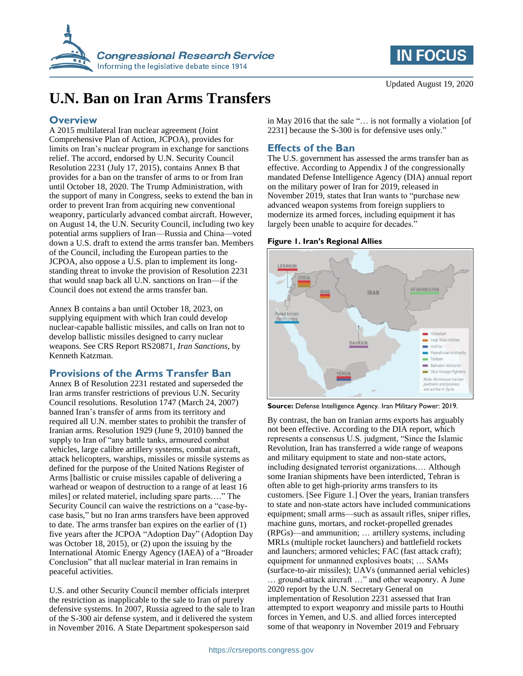



# **U.N. Ban on Iran Arms Transfers**

#### **Overview**

A 2015 multilateral Iran nuclear agreement (Joint Comprehensive Plan of Action, JCPOA), provides for limits on Iran's nuclear program in exchange for sanctions relief. The accord, endorsed by U.N. Security Council Resolution 2231 (July 17, 2015), contains Annex B that provides for a ban on the transfer of arms to or from Iran until October 18, 2020. The Trump Administration, with the support of many in Congress, seeks to extend the ban in order to prevent Iran from acquiring new conventional weaponry, particularly advanced combat aircraft. However, on August 14, the U.N. Security Council, including two key potential arms suppliers of Iran—Russia and China—voted down a U.S. draft to extend the arms transfer ban. Members of the Council, including the European parties to the JCPOA, also oppose a U.S. plan to implement its longstanding threat to invoke the provision of Resolution 2231 that would snap back all U.N. sanctions on Iran—if the Council does not extend the arms transfer ban.

Annex B contains a ban until October 18, 2023, on supplying equipment with which Iran could develop nuclear-capable ballistic missiles, and calls on Iran not to develop ballistic missiles designed to carry nuclear weapons. See CRS Report RS20871, *Iran Sanctions*, by Kenneth Katzman.

### **Provisions of the Arms Transfer Ban**

Annex B of Resolution 2231 restated and superseded the Iran arms transfer restrictions of previous U.N. Security Council resolutions. Resolution 1747 (March 24, 2007) banned Iran's transfer of arms from its territory and required all U.N. member states to prohibit the transfer of Iranian arms. Resolution 1929 (June 9, 2010) banned the supply to Iran of "any battle tanks, armoured combat vehicles, large calibre artillery systems, combat aircraft, attack helicopters, warships, missiles or missile systems as defined for the purpose of the United Nations Register of Arms [ballistic or cruise missiles capable of delivering a warhead or weapon of destruction to a range of at least 16 miles] or related materiel, including spare parts…." The Security Council can waive the restrictions on a "case-bycase basis," but no Iran arms transfers have been approved to date. The arms transfer ban expires on the earlier of (1) five years after the JCPOA "Adoption Day" (Adoption Day was October 18, 2015), or (2) upon the issuing by the International Atomic Energy Agency (IAEA) of a "Broader Conclusion" that all nuclear material in Iran remains in peaceful activities.

U.S. and other Security Council member officials interpret the restriction as inapplicable to the sale to Iran of purely defensive systems. In 2007, Russia agreed to the sale to Iran of the S-300 air defense system, and it delivered the system in November 2016. A State Department spokesperson said

in May 2016 that the sale "… is not formally a violation [of 2231] because the S-300 is for defensive uses only."

## **Effects of the Ban**

The U.S. government has assessed the arms transfer ban as effective. According to Appendix J of the congressionally mandated Defense Intelligence Agency (DIA) annual report on the military power of Iran for 2019, released in November 2019, states that Iran wants to "purchase new advanced weapon systems from foreign suppliers to modernize its armed forces, including equipment it has largely been unable to acquire for decades."

#### <span id="page-0-0"></span>**Figure 1. Iran's Regional Allies**



**Source:** Defense Intelligence Agency. Iran Military Power: 2019.

By contrast, the ban on Iranian arms exports has arguably not been effective. According to the DIA report, which represents a consensus U.S. judgment, "Since the Islamic Revolution, Iran has transferred a wide range of weapons and military equipment to state and non-state actors, including designated terrorist organizations.… Although some Iranian shipments have been interdicted, Tehran is often able to get high-priority arms transfers to its customers. [See [Figure 1.](#page-0-0)] Over the years, Iranian transfers to state and non-state actors have included communications equipment; small arms—such as assault rifles, sniper rifles, machine guns, mortars, and rocket-propelled grenades (RPGs)—and ammunition; … artillery systems, including MRLs (multiple rocket launchers) and battlefield rockets and launchers; armored vehicles; FAC (fast attack craft); equipment for unmanned explosives boats; … SAMs (surface-to-air missiles); UAVs (unmanned aerial vehicles) … ground-attack aircraft …" and other weaponry. A June 2020 report by the U.N. Secretary General on implementation of Resolution 2231 assessed that Iran attempted to export weaponry and missile parts to Houthi forces in Yemen, and U.S. and allied forces intercepted some of that weaponry in November 2019 and February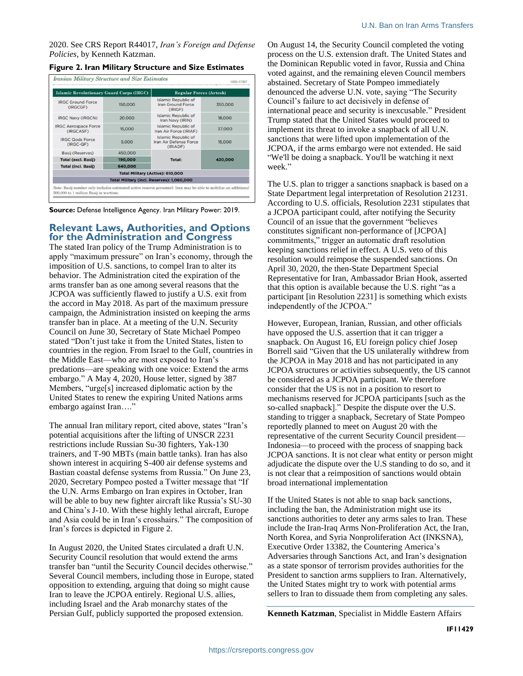2020. See CRS Report R44017, *Iran's Foreign and Defense Policies*, by Kenneth Katzman.

#### <span id="page-1-0"></span>**Figure 2. Iran Military Structure and Size Estimates**

| <b>Islamic Revolutionary Guard Corps (IRGC)</b> |         | <b>Regular Forces (Artesh)</b>                                   |         |
|-------------------------------------------------|---------|------------------------------------------------------------------|---------|
| <b>IRGC Ground Force</b><br>(IRGCGF)            | 150,000 | <b>Islamic Republic of</b><br>Iran Ground Force<br>(IRIGF)       | 350,000 |
| <b>IRGC Navy (IRGCN)</b>                        | 20,000  | <b>Islamic Republic of</b><br>Iran Navy (IRIN)                   | 18,000  |
| <b>IRGC Aerospace Force</b><br>(IRGCASE)        | 15,000  | Islamic Republic of<br>Iran Air Force (IRIAF)                    | 37,000  |
| <b>IRGC Qods Force</b><br>$(IRGC-QF)$           | 5,000   | <b>Islamic Republic of</b><br>Iran Air Defense Force<br>(IRIADF) | 15,000  |
| Basij (Reserves)                                | 450,000 | <b>Total:</b>                                                    | 420,000 |
| <b>Total (excl. Basij)</b>                      | 190,000 |                                                                  |         |
| <b>Total (incl. Basij)</b>                      | 640,000 |                                                                  |         |
|                                                 |         | <b>Total Military (Active): 610,000</b>                          |         |
|                                                 |         | Total Military (incl. Reserves): 1,060,000                       |         |

**Source:** Defense Intelligence Agency. Iran Military Power: 2019.

#### **Relevant Laws, Authorities, and Options for the Administration and Congress**

The stated Iran policy of the Trump Administration is to apply "maximum pressure" on Iran's economy, through the imposition of U.S. sanctions, to compel Iran to alter its behavior. The Administration cited the expiration of the arms transfer ban as one among several reasons that the JCPOA was sufficiently flawed to justify a U.S. exit from the accord in May 2018. As part of the maximum pressure campaign, the Administration insisted on keeping the arms transfer ban in place. At a meeting of the U.N. Security Council on June 30, Secretary of State Michael Pompeo stated "Don't just take it from the United States, listen to countries in the region. From Israel to the Gulf, countries in the Middle East—who are most exposed to Iran's predations—are speaking with one voice: Extend the arms embargo." A May 4, 2020, House letter, signed by 387 Members, "urge[s] increased diplomatic action by the United States to renew the expiring United Nations arms embargo against Iran…."

The annual Iran military report, cited above, states "Iran's potential acquisitions after the lifting of UNSCR 2231 restrictions include Russian Su-30 fighters, Yak-130 trainers, and T-90 MBTs (main battle tanks). Iran has also shown interest in acquiring S-400 air defense systems and Bastian coastal defense systems from Russia." On June 23, 2020, Secretary Pompeo posted a Twitter message that "If the U.N. Arms Embargo on Iran expires in October, Iran will be able to buy new fighter aircraft like Russia's SU-30 and China's J-10. With these highly lethal aircraft, Europe and Asia could be in Iran's crosshairs." The composition of Iran's forces is depicted in [Figure 2.](#page-1-0)

In August 2020, the United States circulated a draft U.N. Security Council resolution that would extend the arms transfer ban "until the Security Council decides otherwise." Several Council members, including those in Europe, stated opposition to extending, arguing that doing so might cause Iran to leave the JCPOA entirely. Regional U.S. allies, including Israel and the Arab monarchy states of the Persian Gulf, publicly supported the proposed extension.

On August 14, the Security Council completed the voting process on the U.S. extension draft. The United States and the Dominican Republic voted in favor, Russia and China voted against, and the remaining eleven Council members abstained. Secretary of State Pompeo immediately denounced the adverse U.N. vote, saying "The Security Council's failure to act decisively in defense of international peace and security is inexcusable." President Trump stated that the United States would proceed to implement its threat to invoke a snapback of all U.N. sanctions that were lifted upon implementation of the JCPOA, if the arms embargo were not extended. He said "We'll be doing a snapback. You'll be watching it next week."

The U.S. plan to trigger a sanctions snapback is based on a State Department legal interpretation of Resolution 21231. According to U.S. officials, Resolution 2231 stipulates that a JCPOA participant could, after notifying the Security Council of an issue that the government "believes constitutes significant non-performance of [JCPOA] commitments," trigger an automatic draft resolution keeping sanctions relief in effect. A U.S. veto of this resolution would reimpose the suspended sanctions. On April 30, 2020, the then-State Department Special Representative for Iran, Ambassador Brian Hook, asserted that this option is available because the U.S. right "as a participant [in Resolution 2231] is something which exists independently of the JCPOA."

However, European, Iranian, Russian, and other officials have opposed the U.S. assertion that it can trigger a snapback. On August 16, EU foreign policy chief Josep Borrell said "Given that the US unilaterally withdrew from the JCPOA in May 2018 and has not participated in any JCPOA structures or activities subsequently, the US cannot be considered as a JCPOA participant. We therefore consider that the US is not in a position to resort to mechanisms reserved for JCPOA participants [such as the so-called snapback]." Despite the dispute over the U.S. standing to trigger a snapback, Secretary of State Pompeo reportedly planned to meet on August 20 with the representative of the current Security Council president— Indonesia—to proceed with the process of snapping back JCPOA sanctions. It is not clear what entity or person might adjudicate the dispute over the U.S standing to do so, and it is not clear that a reimposition of sanctions would obtain broad international implementation

If the United States is not able to snap back sanctions, including the ban, the Administration might use its sanctions authorities to deter any arms sales to Iran. These include the Iran-Iraq Arms Non-Proliferation Act, the Iran, North Korea, and Syria Nonproliferation Act (INKSNA), Executive Order 13382, the Countering America's Adversaries through Sanctions Act, and Iran's designation as a state sponsor of terrorism provides authorities for the President to sanction arms suppliers to Iran. Alternatively, the United States might try to work with potential arms sellers to Iran to dissuade them from completing any sales.

**Kenneth Katzman**, Specialist in Middle Eastern Affairs